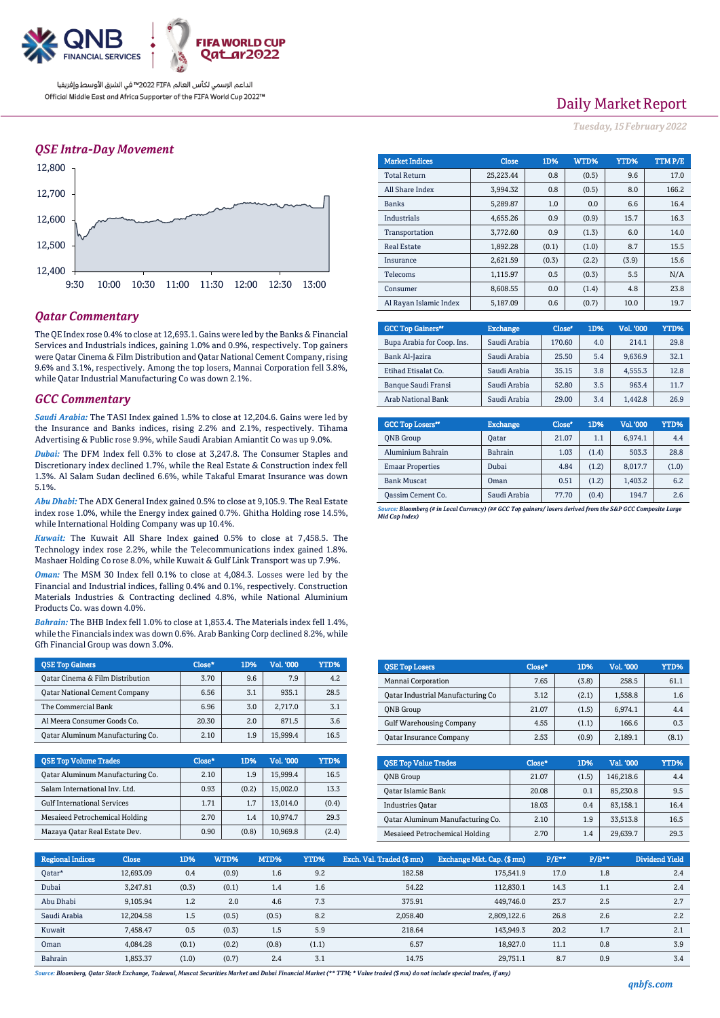

الداعم الرسمي لكأس العالم PIFA≤™ في الشرق الأوسط وإفريقيا Official Middle East and Africa Supporter of the FIFA World Cup 2022™

### *QSE Intra-Day Movement*



### *Qatar Commentary*

The QE Index rose 0.4% to close at 12,693.1. Gains were led by the Banks & Financial Services and Industrials indices, gaining 1.0% and 0.9%, respectively. Top gainers were Qatar Cinema & Film Distribution and Qatar National Cement Company, rising 9.6% and 3.1%, respectively. Among the top losers, Mannai Corporation fell 3.8%, while Qatar Industrial Manufacturing Co was down 2.1%.

#### *GCC Commentary*

*Saudi Arabia:* The TASI Index gained 1.5% to close at 12,204.6. Gains were led by the Insurance and Banks indices, rising 2.2% and 2.1%, respectively. Tihama Advertising & Public rose 9.9%, while Saudi Arabian Amiantit Co was up 9.0%.

*Dubai:* The DFM Index fell 0.3% to close at 3,247.8. The Consumer Staples and Discretionary index declined 1.7%, while the Real Estate & Construction index fell 1.3%. Al Salam Sudan declined 6.6%, while Takaful Emarat Insurance was down 5.1%.

*Abu Dhabi:* The ADX General Index gained 0.5% to close at 9,105.9. The Real Estate index rose 1.0%, while the Energy index gained 0.7%. Ghitha Holding rose 14.5%, while International Holding Company was up 10.4%.

*Kuwait:* The Kuwait All Share Index gained 0.5% to close at 7,458.5. The Technology index rose 2.2%, while the Telecommunications index gained 1.8%. Mashaer Holding Co rose 8.0%, while Kuwait & Gulf Link Transport was up 7.9%.

*Oman:* The MSM 30 Index fell 0.1% to close at 4,084.3. Losses were led by the Financial and Industrial indices, falling 0.4% and 0.1%, respectively. Construction Materials Industries & Contracting declined 4.8%, while National Aluminium Products Co. was down 4.0%.

*Bahrain:* The BHB Index fell 1.0% to close at 1,853.4. The Materials index fell 1.4%, while the Financials index was down 0.6%. Arab Banking Corp declined 8.2%, while Gfh Financial Group was down 3.0%.

| <b>OSE Top Gainers</b>                  | Close* | 1D% | Vol. '000 | YTD% |
|-----------------------------------------|--------|-----|-----------|------|
| Oatar Cinema & Film Distribution        | 3.70   | 9.6 | 7.9       | 4.2  |
| <b>Qatar National Cement Company</b>    | 6.56   | 3.1 | 935.1     | 28.5 |
| The Commercial Bank                     | 6.96   | 3.0 | 2.717.0   | 3.1  |
| Al Meera Consumer Goods Co.             | 20.30  | 2.0 | 871.5     | 3.6  |
| <b>Qatar Aluminum Manufacturing Co.</b> | 2.10   | 1.9 | 15.999.4  | 16.5 |

| <b>QSE Top Volume Trades</b>       | Close* | 1D%   | <b>Vol. '000</b> | YTD%  |
|------------------------------------|--------|-------|------------------|-------|
| Qatar Aluminum Manufacturing Co.   | 2.10   | 1.9   | 15.999.4         | 16.5  |
| Salam International Inv. Ltd.      | 0.93   | (0.2) | 15,002.0         | 13.3  |
| <b>Gulf International Services</b> | 1.71   | 1.7   | 13.014.0         | (0.4) |
| Mesaieed Petrochemical Holding     | 2.70   | 1.4   | 10.974.7         | 29.3  |
| Mazaya Qatar Real Estate Dev.      | 0.90   | (0.8) | 10,969.8         | (2.4) |

| <b>Market Indices</b>  | <b>Close</b> | 1D%   | WTD%   | YTD%  | TTM P/E |
|------------------------|--------------|-------|--------|-------|---------|
| <b>Total Return</b>    | 25,223.44    | 0.8   | (0.5)  | 9.6   | 17.0    |
| All Share Index        | 3.994.32     | 0.8   | (0.5)  | 8.0   | 166.2   |
| <b>Banks</b>           | 5,289.87     | 1.0   | 0.0    | 6.6   | 16.4    |
| Industrials            | 4,655.26     | 0.9   | (0.9)  | 15.7  | 16.3    |
| Transportation         | 3,772.60     | 0.9   | (1.3)  | 6.0   | 14.0    |
| <b>Real Estate</b>     | 1,892.28     | (0.1) | (1.0)  | 8.7   | 15.5    |
| Insurance              | 2,621.59     | (0.3) | (2.2)  | (3.9) | 15.6    |
| <b>Telecoms</b>        | 1,115.97     | 0.5   | (0.3)  | 5.5   | N/A     |
| Consumer               | 8,608.55     | 0.0   | (1.4)  | 4.8   | 23.8    |
| Al Rayan Islamic Index | 5 187 09     | 0 6   | (0, 7) | 10 Q  | 197     |

| <b>GCC Top Gainers</b> "   | <b>Exchange</b> | Close* | 1D% | Vol. '000 | YTD% |
|----------------------------|-----------------|--------|-----|-----------|------|
| Bupa Arabia for Coop. Ins. | Saudi Arabia    | 170.60 | 4.0 | 214.1     | 29.8 |
| Bank Al-Jazira             | Saudi Arabia    | 25.50  | 5.4 | 9.636.9   | 32.1 |
| Etihad Etisalat Co.        | Saudi Arabia    | 35.15  | 3.8 | 4.555.3   | 12.8 |
| <b>Banque Saudi Fransi</b> | Saudi Arabia    | 52.80  | 3.5 | 963.4     | 11.7 |
| <b>Arab National Bank</b>  | Saudi Arabia    | 29.00  | 3.4 | 1.442.8   | 26.9 |

| <b>GCC Top Losers</b> <sup>40</sup> | <b>Exchange</b> | Close <sup>®</sup> | 1D%   | Vol. '000 | YTD%  |
|-------------------------------------|-----------------|--------------------|-------|-----------|-------|
| <b>ONB</b> Group                    | Oatar           | 21.07              | 1.1   | 6.974.1   | 4.4   |
| Aluminium Bahrain                   | <b>Bahrain</b>  | 1.03               | (1.4) | 503.3     | 28.8  |
| <b>Emaar Properties</b>             | Dubai           | 4.84               | (1.2) | 8,017.7   | (1.0) |
| <b>Bank Muscat</b>                  | Oman            | 0.51               | (1.2) | 1.403.2   | 6.2   |
| Oassim Cement Co.                   | Saudi Arabia    | 77.70              | (0.4) | 194.7     | 2.6   |

*Source: Bloomberg (# in Local Currency) (## GCC Top gainers/ losers derived from the S&P GCC Composite Large Mid Cap Index)*

| <b>OSE Top Losers</b>             | $Close*$ | 1D%   | <b>Vol. '000</b> | YTD%  |
|-----------------------------------|----------|-------|------------------|-------|
| Mannai Corporation                | 7.65     | (3.8) | 258.5            | 61.1  |
| Oatar Industrial Manufacturing Co | 3.12     | (2.1) | 1,558.8          | 1.6   |
| <b>ONB</b> Group                  | 21.07    | (1.5) | 6,974.1          | 4.4   |
| <b>Gulf Warehousing Company</b>   | 4.55     | (1.1) | 166.6            | 0.3   |
| <b>Qatar Insurance Company</b>    | 2.53     | (0.9) | 2,189.1          | (8.1) |
|                                   |          |       |                  |       |

| <b>QSE Top Value Trades</b>      | Close* | 1D%   | Val. '000 | YTD% |
|----------------------------------|--------|-------|-----------|------|
| <b>ONB</b> Group                 | 21.07  | (1.5) | 146,218.6 | 4.4  |
| Qatar Islamic Bank               | 20.08  | 0.1   | 85,230.8  | 9.5  |
| <b>Industries Oatar</b>          | 18.03  | 0.4   | 83.158.1  | 16.4 |
| Oatar Aluminum Manufacturing Co. | 2.10   | 1.9   | 33,513.8  | 16.5 |
| Mesaieed Petrochemical Holding   | 2.70   | 1.4   | 29,639.7  | 29.3 |

| <b>Regional Indices</b> | <b>Close</b> | 1D%   | WTD%  | MTD%  | YTD%  | Exch. Val. Traded (\$ mn) | Exchange Mkt. Cap. (\$ mn) | P/E** | $P/B***$ | <b>Dividend Yield</b> |
|-------------------------|--------------|-------|-------|-------|-------|---------------------------|----------------------------|-------|----------|-----------------------|
| Oatar*                  | 12.693.09    | 0.4   | (0.9) | 1.6   | 9.2   | 182.58                    | 175,541.9                  | 17.0  | 1.8      | 2.4                   |
| Dubai                   | 3.247.81     | (0.3) | (0.1) | 1.4   | 1.6   | 54.22                     | 112.830.1                  | 14.3  | 1.1      | 2.4                   |
| Abu Dhabi               | 9.105.94     | 1.2   | 2.0   | 4.6   | 7.3   | 375.91                    | 449.746.0                  | 23.7  | 2.5      | 2.7                   |
| Saudi Arabia            | 12,204.58    | 1.5   | (0.5) | (0.5) | 8.2   | 2,058.40                  | 2,809,122.6                | 26.8  | 2.6      | 2.2                   |
| Kuwait                  | 7.458.47     | 0.5   | (0.3) | 1.5   | 5.9   | 218.64                    | 143.949.3                  | 20.2  | 1.7      | 2.1                   |
| Oman                    | 4.084.28     | (0.1) | (0.2) | (0.8) | (1.1) | 6.57                      | 18.927.0                   | 11.1  | 0.8      | 3.9                   |
| Bahrain                 | 1.853.37     | (1.0) | (0.7) | 2.4   | 3.1   | 14.75                     | 29.751.1                   | 8.7   | 0.9      | 3.4                   |

*Source: Bloomberg, Qatar Stock Exchange, Tadawul, Muscat Securities Market and Dubai Financial Market (\*\* TTM; \* Value traded (\$ mn) do not include special trades, if any)*

# Daily Market Report

*Tuesday, 15February 2022*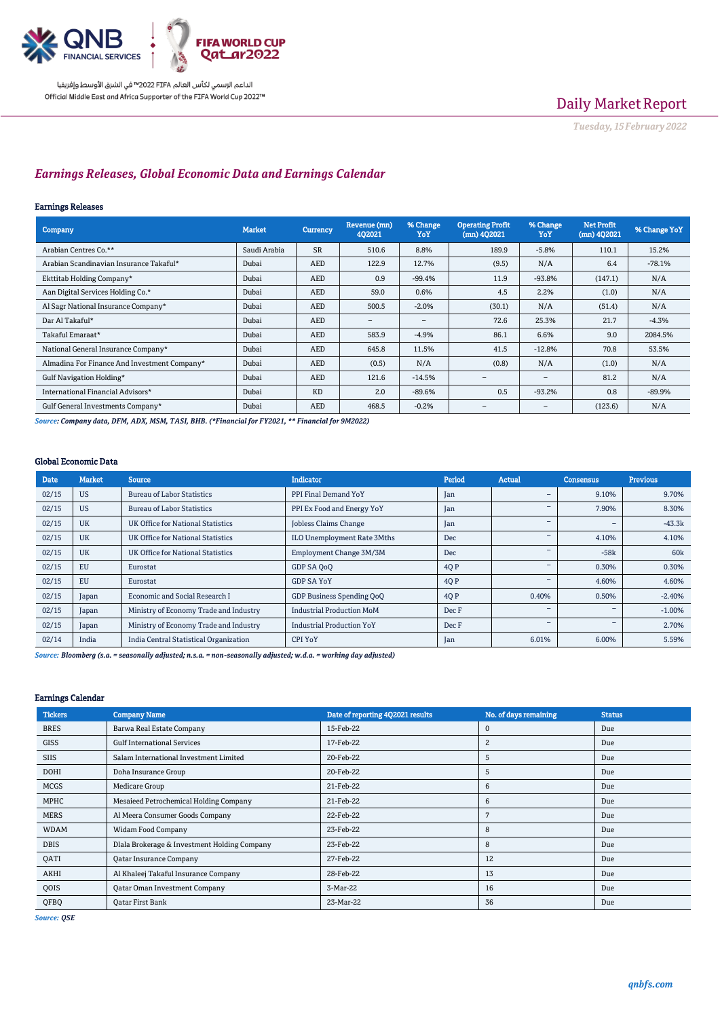

الداعم الرسمي لكأس العالم PIFA™ في الشرق الأوسط وإفريقيا Official Middle East and Africa Supporter of the FIFA World Cup 2022™

# Daily Market Report

*Tuesday, 15February 2022*

## *Earnings Releases, Global Economic Data and Earnings Calendar*

### Earnings Releases

| <b>Company</b>                               | <b>Market</b> | Currency   | Revenue (mn)<br>402021 | % Change<br>YoY | <b>Operating Profit</b><br>$(mn)$ 402021 | % Change<br>YoY          | <b>Net Profit</b><br>$(mn)$ 402021 | % Change YoY |
|----------------------------------------------|---------------|------------|------------------------|-----------------|------------------------------------------|--------------------------|------------------------------------|--------------|
| Arabian Centres Co.**                        | Saudi Arabia  | <b>SR</b>  | 510.6                  | 8.8%            | 189.9                                    | $-5.8%$                  | 110.1                              | 15.2%        |
| Arabian Scandinavian Insurance Takaful*      | Dubai         | <b>AED</b> | 122.9                  | 12.7%           | (9.5)                                    | N/A                      | 6.4                                | $-78.1%$     |
| Ekttitab Holding Company*                    | Dubai         | <b>AED</b> | 0.9                    | $-99.4%$        | 11.9                                     | $-93.8%$                 | (147.1)                            | N/A          |
| Aan Digital Services Holding Co.*            | Dubai         | <b>AED</b> | 59.0                   | 0.6%            | 4.5                                      | 2.2%                     | (1.0)                              | N/A          |
| Al Sagr National Insurance Company*          | Dubai         | <b>AED</b> | 500.5                  | $-2.0%$         | (30.1)                                   | N/A                      | (51.4)                             | N/A          |
| Dar Al Takaful*                              | Dubai         | <b>AED</b> | $\qquad \qquad -$      | -               | 72.6                                     | 25.3%                    | 21.7                               | $-4.3%$      |
| Takaful Emaraat*                             | Dubai         | <b>AED</b> | 583.9                  | $-4.9%$         | 86.1                                     | 6.6%                     | 9.0                                | 2084.5%      |
| National General Insurance Company*          | Dubai         | <b>AED</b> | 645.8                  | 11.5%           | 41.5                                     | $-12.8%$                 | 70.8                               | 53.5%        |
| Almadina For Finance And Investment Company* | Dubai         | <b>AED</b> | (0.5)                  | N/A             | (0.8)                                    | N/A                      | (1.0)                              | N/A          |
| Gulf Navigation Holding*                     | Dubai         | <b>AED</b> | 121.6                  | $-14.5%$        |                                          | $\overline{\phantom{a}}$ | 81.2                               | N/A          |
| International Financial Advisors*            | Dubai         | <b>KD</b>  | 2.0                    | $-89.6%$        | 0.5                                      | $-93.2%$                 | 0.8                                | $-89.9%$     |
| Gulf General Investments Company*            | Dubai         | <b>AED</b> | 468.5                  | $-0.2%$         |                                          |                          | (123.6)                            | N/A          |

*Source: Company data, DFM, ADX, MSM, TASI, BHB. (\*Financial for FY2021, \*\* Financial for 9M2022)*

### Global Economic Data

| Date  | <b>Market</b> | <b>Source</b>                          | <b>Indicator</b>                 | Period | Actual                   | <b>Consensus</b> | <b>Previous</b> |
|-------|---------------|----------------------------------------|----------------------------------|--------|--------------------------|------------------|-----------------|
| 02/15 | <b>US</b>     | <b>Bureau of Labor Statistics</b>      | PPI Final Demand YoY             | Jan    |                          | 9.10%            | 9.70%           |
| 02/15 | <b>US</b>     | <b>Bureau of Labor Statistics</b>      | PPI Ex Food and Energy YoY       | Jan    | -                        | 7.90%            | 8.30%           |
| 02/15 | <b>UK</b>     | UK Office for National Statistics      | <b>Jobless Claims Change</b>     | Jan    | $\overline{\phantom{a}}$ | ۰                | $-43.3k$        |
| 02/15 | <b>UK</b>     | UK Office for National Statistics      | ILO Unemployment Rate 3Mths      | Dec    | $\overline{\phantom{a}}$ | 4.10%            | 4.10%           |
| 02/15 | <b>UK</b>     | UK Office for National Statistics      | Employment Change 3M/3M          | Dec    |                          | $-58k$           | 60 <sub>k</sub> |
| 02/15 | EU            | Eurostat                               | GDP SA QoQ                       | 40 P   |                          | 0.30%            | 0.30%           |
| 02/15 | EU            | Eurostat                               | <b>GDP SA YoY</b>                | 4Q P   |                          | 4.60%            | 4.60%           |
| 02/15 | Japan         | <b>Economic and Social Research I</b>  | GDP Business Spending OoO        | 4Q P   | 0.40%                    | 0.50%            | $-2.40%$        |
| 02/15 | Japan         | Ministry of Economy Trade and Industry | <b>Industrial Production MoM</b> | Dec F  | -                        | -                | $-1.00%$        |
| 02/15 | Japan         | Ministry of Economy Trade and Industry | <b>Industrial Production YoY</b> | Dec F  | $\overline{\phantom{a}}$ | ۰                | 2.70%           |
| 02/14 | India         | India Central Statistical Organization | <b>CPI YoY</b>                   | Jan    | 6.01%                    | 6.00%            | 5.59%           |

*Source: Bloomberg (s.a. = seasonally adjusted; n.s.a. = non-seasonally adjusted; w.d.a. = working day adjusted)*

### Earnings Calendar

| <b>Tickers</b> | <b>Company Name</b>                          | Date of reporting 4Q2021 results | No. of days remaining | <b>Status</b> |
|----------------|----------------------------------------------|----------------------------------|-----------------------|---------------|
| <b>BRES</b>    | Barwa Real Estate Company                    | 15-Feb-22                        | $\mathbf 0$           | Due           |
| GISS           | <b>Gulf International Services</b>           | 17-Feb-22                        | 2                     | Due           |
| <b>SIIS</b>    | Salam International Investment Limited       | 20-Feb-22                        | 5                     | Due           |
| <b>DOHI</b>    | Doha Insurance Group                         | 20-Feb-22                        | 5                     | Due           |
| <b>MCGS</b>    | Medicare Group                               | 21-Feb-22                        | 6                     | Due           |
| <b>MPHC</b>    | Mesaieed Petrochemical Holding Company       | 21-Feb-22                        | 6                     | Due           |
| <b>MERS</b>    | Al Meera Consumer Goods Company              | 22-Feb-22                        | n                     | Due           |
| <b>WDAM</b>    | Widam Food Company                           | 23-Feb-22                        | 8                     | Due           |
| <b>DBIS</b>    | Dlala Brokerage & Investment Holding Company | 23-Feb-22                        | 8                     | Due           |
| QATI           | Qatar Insurance Company                      | 27-Feb-22                        | 12                    | Due           |
| AKHI           | Al Khaleej Takaful Insurance Company         | 28-Feb-22                        | 13                    | Due           |
| QOIS           | Qatar Oman Investment Company                | 3-Mar-22                         | 16                    | Due           |
| QFBQ           | <b>Qatar First Bank</b>                      | 23-Mar-22                        | 36                    | Due           |

*Source: QSE*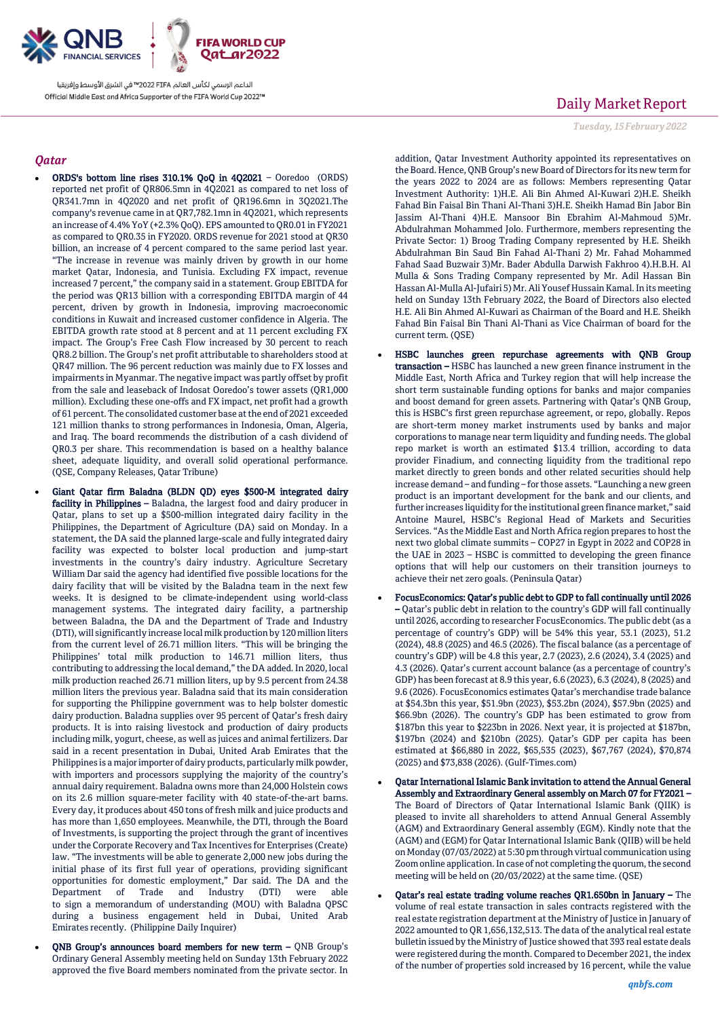

الداعم الرسمى لكأس العالم PIFA™ في الشرق الأوسط وإفريقيا Official Middle East and Africa Supporter of the FIFA World Cup 2022™

### *Qatar*

- ORDS's bottom line rises 310.1% QoQ in 4Q2021 Ooredoo (ORDS) reported net profit of QR806.5mn in 4Q2021 as compared to net loss of QR341.7mn in 4Q2020 and net profit of QR196.6mn in 3Q2021.The company's revenue came in at QR7,782.1mn in 4Q2021, which represents an increase of 4.4% YoY (+2.3% QoQ). EPS amounted to QR0.01 in FY2021 as compared to QR0.35 in FY2020. ORDS revenue for 2021 stood at QR30 billion, an increase of 4 percent compared to the same period last year. "The increase in revenue was mainly driven by growth in our home market Qatar, Indonesia, and Tunisia. Excluding FX impact, revenue increased 7 percent," the company said in a statement. Group EBITDA for the period was QR13 billion with a corresponding EBITDA margin of 44 percent, driven by growth in Indonesia, improving macroeconomic conditions in Kuwait and increased customer confidence in Algeria. The EBITDA growth rate stood at 8 percent and at 11 percent excluding FX impact. The Group's Free Cash Flow increased by 30 percent to reach QR8.2 billion. The Group's net profit attributable to shareholders stood at QR47 million. The 96 percent reduction was mainly due to FX losses and impairments in Myanmar. The negative impact was partly offset by profit from the sale and leaseback of Indosat Ooredoo's tower assets (QR1,000 million). Excluding these one-offs and FX impact, net profit had a growth of 61 percent. The consolidated customer base at the end of 2021 exceeded 121 million thanks to strong performances in Indonesia, Oman, Algeria, and Iraq. The board recommends the distribution of a cash dividend of QR0.3 per share. This recommendation is based on a healthy balance sheet, adequate liquidity, and overall solid operational performance. (QSE, Company Releases, Qatar Tribune)
- Giant Qatar firm Baladna (BLDN QD) eyes \$500-M integrated dairy facility in Philippines - Baladna, the largest food and dairy producer in Qatar, plans to set up a \$500-million integrated dairy facility in the Philippines, the Department of Agriculture (DA) said on Monday. In a statement, the DA said the planned large-scale and fully integrated dairy facility was expected to bolster local production and jump-start investments in the country's dairy industry. Agriculture Secretary William Dar said the agency had identified five possible locations for the dairy facility that will be visited by the Baladna team in the next few weeks. It is designed to be climate-independent using world-class management systems. The integrated dairy facility, a partnership between Baladna, the DA and the Department of Trade and Industry (DTI), will significantly increase local milk production by 120 million liters from the current level of 26.71 million liters. "This will be bringing the Philippines' total milk production to 146.71 million liters, thus contributing to addressing the local demand," the DA added. In 2020, local milk production reached 26.71 million liters, up by 9.5 percent from 24.38 million liters the previous year. Baladna said that its main consideration for supporting the Philippine government was to help bolster domestic dairy production. Baladna supplies over 95 percent of Qatar's fresh dairy products. It is into raising livestock and production of dairy products including milk, yogurt, cheese, as well as juices and animal fertilizers. Dar said in a recent presentation in Dubai, United Arab Emirates that the Philippines is a major importer of dairy products, particularly milk powder, with importers and processors supplying the majority of the country's annual dairy requirement. Baladna owns more than 24,000 Holstein cows on its 2.6 million square-meter facility with 40 state-of-the-art barns. Every day, it produces about 450 tons of fresh milk and juice products and has more than 1,650 employees. Meanwhile, the DTI, through the Board of Investments, is supporting the project through the grant of incentives under the Corporate Recovery and Tax Incentives for Enterprises (Create) law. "The investments will be able to generate 2,000 new jobs during the initial phase of its first full year of operations, providing significant opportunities for domestic employment," Dar said. The DA and the Department of Trade and Industry (DTI) were able to sign a memorandum of understanding (MOU) with Baladna QPSC during a business engagement held in Dubai, United Arab Emirates recently. (Philippine Daily Inquirer)
- QNB Group's announces board members for new term QNB Group's Ordinary General Assembly meeting held on Sunday 13th February 2022 approved the five Board members nominated from the private sector. In

# Daily Market Report

*Tuesday, 15February 2022*

addition, Qatar Investment Authority appointed its representatives on the Board. Hence, QNB Group's new Board of Directors for its new term for the years 2022 to 2024 are as follows: Members representing Qatar Investment Authority: 1)H.E. Ali Bin Ahmed Al-Kuwari 2)H.E. Sheikh Fahad Bin Faisal Bin Thani Al-Thani 3)H.E. Sheikh Hamad Bin Jabor Bin Jassim Al-Thani 4)H.E. Mansoor Bin Ebrahim Al-Mahmoud 5)Mr. Abdulrahman Mohammed Jolo. Furthermore, members representing the Private Sector: 1) Broog Trading Company represented by H.E. Sheikh Abdulrahman Bin Saud Bin Fahad Al-Thani 2) Mr. Fahad Mohammed Fahad Saad Buzwair 3)Mr. Bader Abdulla Darwish Fakhroo 4).H.B.H. Al Mulla & Sons Trading Company represented by Mr. Adil Hassan Bin Hassan Al-Mulla Al-Jufairi 5) Mr. Ali Yousef Hussain Kamal. In its meeting held on Sunday 13th February 2022, the Board of Directors also elected H.E. Ali Bin Ahmed Al-Kuwari as Chairman of the Board and H.E. Sheikh Fahad Bin Faisal Bin Thani Al-Thani as Vice Chairman of board for the current term. (QSE)

- HSBC launches green repurchase agreements with QNB Group transaction – HSBC has launched a new green finance instrument in the Middle East, North Africa and Turkey region that will help increase the short term sustainable funding options for banks and major companies and boost demand for green assets. Partnering with Qatar's QNB Group, this is HSBC's first green repurchase agreement, or repo, globally. Repos are short-term money market instruments used by banks and major corporations to manage near term liquidity and funding needs. The global repo market is worth an estimated \$13.4 trillion, according to data provider Finadium, and connecting liquidity from the traditional repo market directly to green bonds and other related securities should help increase demand – and funding – for those assets. "Launching a new green product is an important development for the bank and our clients, and further increases liquidity for the institutional green finance market," said Antoine Maurel, HSBC's Regional Head of Markets and Securities Services. "As the Middle East and North Africa region prepares to host the next two global climate summits – COP27 in Egypt in 2022 and COP28 in the UAE in 2023 – HSBC is committed to developing the green finance options that will help our customers on their transition journeys to achieve their net zero goals. (Peninsula Qatar)
- FocusEconomics: Qatar's public debt to GDP to fall continually until 2026 – Qatar's public debt in relation to the country's GDP will fall continually until 2026, according to researcher FocusEconomics. The public debt (as a percentage of country's GDP) will be 54% this year, 53.1 (2023), 51.2 (2024), 48.8 (2025) and 46.5 (2026). The fiscal balance (as a percentage of country's GDP) will be 4.8 this year, 2.7 (2023), 2.6 (2024), 3.4 (2025) and 4.3 (2026). Qatar's current account balance (as a percentage of country's GDP) has been forecast at 8.9 this year, 6.6 (2023), 6.3 (2024), 8 (2025) and 9.6 (2026). FocusEconomics estimates Qatar's merchandise trade balance at \$54.3bn this year, \$51.9bn (2023), \$53.2bn (2024), \$57.9bn (2025) and \$66.9bn (2026). The country's GDP has been estimated to grow from \$187bn this year to \$223bn in 2026. Next year, it is projected at \$187bn, \$197bn (2024) and \$210bn (2025). Qatar's GDP per capita has been estimated at \$66,880 in 2022, \$65,535 (2023), \$67,767 (2024), \$70,874 (2025) and \$73,838 (2026). (Gulf-Times.com)
- Qatar International Islamic Bank invitation to attend the Annual General Assembly and Extraordinary General assembly on March 07 for FY2021 – The Board of Directors of Qatar International Islamic Bank (QIIK) is pleased to invite all shareholders to attend Annual General Assembly (AGM) and Extraordinary General assembly (EGM). Kindly note that the (AGM) and (EGM) for Qatar International Islamic Bank (QIIB) will be held on Monday (07/03/2022) at 5:30 pm through virtual communication using Zoom online application. In case of not completing the quorum, the second meeting will be held on (20/03/2022) at the same time. (QSE)
- Qatar's real estate trading volume reaches QR1.650bn in January The volume of real estate transaction in sales contracts registered with the real estate registration department at the Ministry of Justice in January of 2022 amounted to QR 1,656,132,513. The data of the analytical real estate bulletin issued by the Ministry of Justice showed that 393 real estate deals were registered during the month. Compared to December 2021, the index of the number of properties sold increased by 16 percent, while the value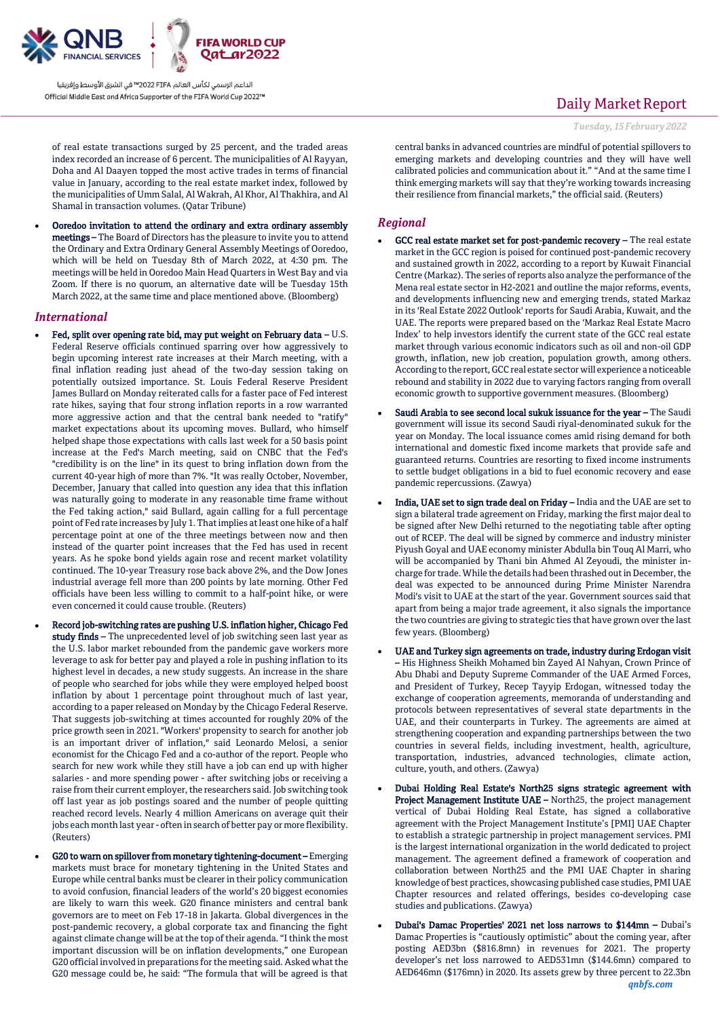

الداعم الرسمي لكأس العالم PIFA≤™ في الشرق الأوسط وإفريقيا Official Middle East and Africa Supporter of the FIFA World Cup 2022™

of real estate transactions surged by 25 percent, and the traded areas index recorded an increase of 6 percent. The municipalities of Al Rayyan, Doha and Al Daayen topped the most active trades in terms of financial value in January, according to the real estate market index, followed by the municipalities of Umm Salal, Al Wakrah, Al Khor, Al Thakhira, and Al Shamal in transaction volumes. (Qatar Tribune)

 Ooredoo invitation to attend the ordinary and extra ordinary assembly meetings – The Board of Directors has the pleasure to invite you to attend the Ordinary and Extra Ordinary General Assembly Meetings of Ooredoo, which will be held on Tuesday 8th of March 2022, at 4:30 pm. The meetings will be held in Ooredoo Main Head Quarters in West Bay and via Zoom. If there is no quorum, an alternative date will be Tuesday 15th March 2022, at the same time and place mentioned above. (Bloomberg)

#### *International*

- Fed, split over opening rate bid, may put weight on February data U.S. Federal Reserve officials continued sparring over how aggressively to begin upcoming interest rate increases at their March meeting, with a final inflation reading just ahead of the two-day session taking on potentially outsized importance. St. Louis Federal Reserve President James Bullard on Monday reiterated calls for a faster pace of Fed interest rate hikes, saying that four strong inflation reports in a row warranted more aggressive action and that the central bank needed to "ratify" market expectations about its upcoming moves. Bullard, who himself helped shape those expectations with calls last week for a 50 basis point increase at the Fed's March meeting, said on CNBC that the Fed's "credibility is on the line" in its quest to bring inflation down from the current 40-year high of more than 7%. "It was really October, November, December, January that called into question any idea that this inflation was naturally going to moderate in any reasonable time frame without the Fed taking action," said Bullard, again calling for a full percentage point of Fed rate increases by July 1. That implies at least one hike of a half percentage point at one of the three meetings between now and then instead of the quarter point increases that the Fed has used in recent years. As he spoke bond yields again rose and recent market volatility continued. The 10-year Treasury rose back above 2%, and the Dow Jones industrial average fell more than 200 points by late morning. Other Fed officials have been less willing to commit to a half-point hike, or were even concerned it could cause trouble. (Reuters)
- Record job-switching rates are pushing U.S. inflation higher, Chicago Fed study finds – The unprecedented level of job switching seen last year as the U.S. labor market rebounded from the pandemic gave workers more leverage to ask for better pay and played a role in pushing inflation to its highest level in decades, a new study suggests. An increase in the share of people who searched for jobs while they were employed helped boost inflation by about 1 percentage point throughout much of last year, according to a paper released on Monday by the Chicago Federal Reserve. That suggests job-switching at times accounted for roughly 20% of the price growth seen in 2021. "Workers' propensity to search for another job is an important driver of inflation," said Leonardo Melosi, a senior economist for the Chicago Fed and a co-author of the report. People who search for new work while they still have a job can end up with higher salaries - and more spending power - after switching jobs or receiving a raise from their current employer, the researchers said. Job switching took off last year as job postings soared and the number of people quitting reached record levels. Nearly 4 million Americans on average quit their jobs each month last year - often in search of better pay or more flexibility. (Reuters)
- G20 to warn on spillover from monetary tightening-document Emerging markets must brace for monetary tightening in the United States and Europe while central banks must be clearer in their policy communication to avoid confusion, financial leaders of the world's 20 biggest economies are likely to warn this week. G20 finance ministers and central bank governors are to meet on Feb 17-18 in Jakarta. Global divergences in the post-pandemic recovery, a global corporate tax and financing the fight against climate change will be at the top of their agenda. "I think the most important discussion will be on inflation developments," one European G20 official involved in preparations for the meeting said. Asked what the G20 message could be, he said: "The formula that will be agreed is that

## Daily Market Report

*Tuesday, 15February 2022*

central banks in advanced countries are mindful of potential spillovers to emerging markets and developing countries and they will have well calibrated policies and communication about it." "And at the same time I think emerging markets will say that they're working towards increasing their resilience from financial markets," the official said. (Reuters)

### *Regional*

- GCC real estate market set for post-pandemic recovery The real estate market in the GCC region is poised for continued post-pandemic recovery and sustained growth in 2022, according to a report by Kuwait Financial Centre (Markaz). The series of reports also analyze the performance of the Mena real estate sector in H2-2021 and outline the major reforms, events, and developments influencing new and emerging trends, stated Markaz in its 'Real Estate 2022 Outlook' reports for Saudi Arabia, Kuwait, and the UAE. The reports were prepared based on the 'Markaz Real Estate Macro Index' to help investors identify the current state of the GCC real estate market through various economic indicators such as oil and non-oil GDP growth, inflation, new job creation, population growth, among others. According to the report, GCC real estate sector will experience a noticeable rebound and stability in 2022 due to varying factors ranging from overall economic growth to supportive government measures. (Bloomberg)
- Saudi Arabia to see second local sukuk issuance for the year The Saudi government will issue its second Saudi riyal-denominated sukuk for the year on Monday. The local issuance comes amid rising demand for both international and domestic fixed income markets that provide safe and guaranteed returns. Countries are resorting to fixed income instruments to settle budget obligations in a bid to fuel economic recovery and ease pandemic repercussions. (Zawya)
- India, UAE set to sign trade deal on Friday India and the UAE are set to sign a bilateral trade agreement on Friday, marking the first major deal to be signed after New Delhi returned to the negotiating table after opting out of RCEP. The deal will be signed by commerce and industry minister Piyush Goyal and UAE economy minister Abdulla bin Touq Al Marri, who will be accompanied by Thani bin Ahmed Al Zeyoudi, the minister incharge for trade. While the details had been thrashed out in December, the deal was expected to be announced during Prime Minister Narendra Modi's visit to UAE at the start of the year. Government sources said that apart from being a major trade agreement, it also signals the importance the two countries are giving to strategic ties that have grown over the last few years. (Bloomberg)
- UAE and Turkey sign agreements on trade, industry during Erdogan visit – His Highness Sheikh Mohamed bin Zayed Al Nahyan, Crown Prince of Abu Dhabi and Deputy Supreme Commander of the UAE Armed Forces, and President of Turkey, Recep Tayyip Erdogan, witnessed today the exchange of cooperation agreements, memoranda of understanding and protocols between representatives of several state departments in the UAE, and their counterparts in Turkey. The agreements are aimed at strengthening cooperation and expanding partnerships between the two countries in several fields, including investment, health, agriculture, transportation, industries, advanced technologies, climate action, culture, youth, and others. (Zawya)
- Dubai Holding Real Estate's North25 signs strategic agreement with Project Management Institute UAE - North25, the project management vertical of Dubai Holding Real Estate, has signed a collaborative agreement with the Project Management Institute's [PMI] UAE Chapter to establish a strategic partnership in project management services. PMI is the largest international organization in the world dedicated to project management. The agreement defined a framework of cooperation and collaboration between North25 and the PMI UAE Chapter in sharing knowledge of best practices, showcasing published case studies, PMI UAE Chapter resources and related offerings, besides co-developing case studies and publications. (Zawya)
- *qnbfs.com* Dubai's Damac Properties' 2021 net loss narrows to \$144mn – Dubai's Damac Properties is "cautiously optimistic" about the coming year, after posting AED3bn (\$816.8mn) in revenues for 2021. The property developer's net loss narrowed to AED531mn (\$144.6mn) compared to AED646mn (\$176mn) in 2020. Its assets grew by three percent to 22.3bn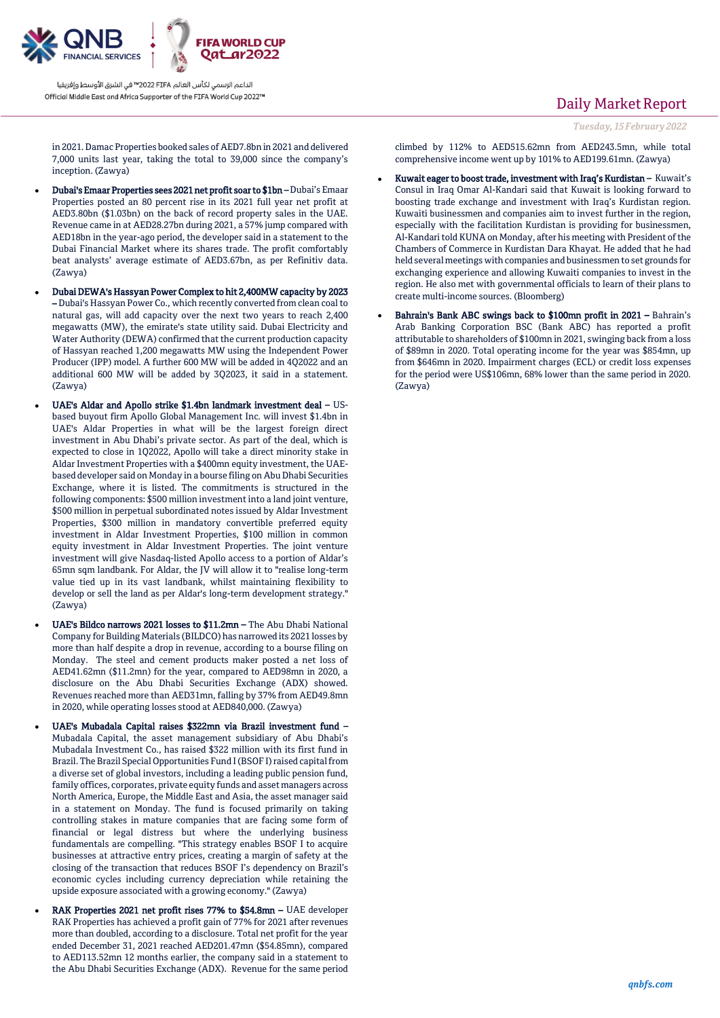

inception. (Zawya)

الداعم الرسمي لكأس العالم PIFA≤™ في الشرق الأوسط وإفريقيا Official Middle East and Africa Supporter of the FIFA World Cup 2022™

## in 2021. Damac Properties booked sales of AED7.8bn in 2021 and delivered 7,000 units last year, taking the total to 39,000 since the company's

- Dubai's Emaar Properties sees 2021 net profit soar to \$1bn Dubai's Emaar Properties posted an 80 percent rise in its 2021 full year net profit at AED3.80bn (\$1.03bn) on the back of record property sales in the UAE. Revenue came in at AED28.27bn during 2021, a 57% jump compared with AED18bn in the year-ago period, the developer said in a statement to the Dubai Financial Market where its shares trade. The profit comfortably beat analysts' average estimate of AED3.67bn, as per Refinitiv data. (Zawya)
- Dubai DEWA's Hassyan Power Complex to hit 2,400MW capacity by 2023 – Dubai's Hassyan Power Co., which recently converted from clean coal to natural gas, will add capacity over the next two years to reach 2,400 megawatts (MW), the emirate's state utility said. Dubai Electricity and Water Authority (DEWA) confirmed that the current production capacity of Hassyan reached 1,200 megawatts MW using the Independent Power Producer (IPP) model. A further 600 MW will be added in 4Q2022 and an additional 600 MW will be added by 3Q2023, it said in a statement. (Zawya)
- UAE's Aldar and Apollo strike \$1.4bn landmark investment deal USbased buyout firm Apollo Global Management Inc. will invest \$1.4bn in UAE's Aldar Properties in what will be the largest foreign direct investment in Abu Dhabi's private sector. As part of the deal, which is expected to close in 1Q2022, Apollo will take a direct minority stake in Aldar Investment Properties with a \$400mn equity investment, the UAEbased developer said on Monday in a bourse filing on Abu Dhabi Securities Exchange, where it is listed. The commitments is structured in the following components: \$500 million investment into a land joint venture, \$500 million in perpetual subordinated notes issued by Aldar Investment Properties, \$300 million in mandatory convertible preferred equity investment in Aldar Investment Properties, \$100 million in common equity investment in Aldar Investment Properties. The joint venture investment will give Nasdaq-listed Apollo access to a portion of Aldar's 65mn sqm landbank. For Aldar, the JV will allow it to "realise long-term value tied up in its vast landbank, whilst maintaining flexibility to develop or sell the land as per Aldar's long-term development strategy." (Zawya)
- UAE's Bildco narrows 2021 losses to \$11.2mn The Abu Dhabi National Company for Building Materials (BILDCO) has narrowed its 2021 losses by more than half despite a drop in revenue, according to a bourse filing on Monday. The steel and cement products maker posted a net loss of AED41.62mn (\$11.2mn) for the year, compared to AED98mn in 2020, a disclosure on the Abu Dhabi Securities Exchange (ADX) showed. Revenues reached more than AED31mn, falling by 37% from AED49.8mn in 2020, while operating losses stood at AED840,000. (Zawya)
- UAE's Mubadala Capital raises \$322mn via Brazil investment fund Mubadala Capital, the asset management subsidiary of Abu Dhabi's Mubadala Investment Co., has raised \$322 million with its first fund in Brazil. The Brazil Special Opportunities Fund I (BSOF I) raised capital from a diverse set of global investors, including a leading public pension fund, family offices, corporates, private equity funds and asset managers across North America, Europe, the Middle East and Asia, the asset manager said in a statement on Monday. The fund is focused primarily on taking controlling stakes in mature companies that are facing some form of financial or legal distress but where the underlying business fundamentals are compelling. "This strategy enables BSOF I to acquire businesses at attractive entry prices, creating a margin of safety at the closing of the transaction that reduces BSOF I's dependency on Brazil's economic cycles including currency depreciation while retaining the upside exposure associated with a growing economy." (Zawya)
- RAK Properties 2021 net profit rises 77% to \$54.8mn UAE developer RAK Properties has achieved a profit gain of 77% for 2021 after revenues more than doubled, according to a disclosure. Total net profit for the year ended December 31, 2021 reached AED201.47mn (\$54.85mn), compared to AED113.52mn 12 months earlier, the company said in a statement to the Abu Dhabi Securities Exchange (ADX). Revenue for the same period

## Daily Market Report

*Tuesday, 15February 2022*

climbed by 112% to AED515.62mn from AED243.5mn, while total comprehensive income went up by 101% to AED199.61mn. (Zawya)

- Kuwait eager to boost trade, investment with Iraq's Kurdistan Kuwait's Consul in Iraq Omar Al-Kandari said that Kuwait is looking forward to boosting trade exchange and investment with Iraq's Kurdistan region. Kuwaiti businessmen and companies aim to invest further in the region, especially with the facilitation Kurdistan is providing for businessmen, Al-Kandari told KUNA on Monday, after his meeting with President of the Chambers of Commerce in Kurdistan Dara Khayat. He added that he had held several meetings with companies and businessmen to set grounds for exchanging experience and allowing Kuwaiti companies to invest in the region. He also met with governmental officials to learn of their plans to create multi-income sources. (Bloomberg)
- Bahrain's Bank ABC swings back to \$100mn profit in 2021 Bahrain's Arab Banking Corporation BSC (Bank ABC) has reported a profit attributable to shareholders of \$100mn in 2021, swinging back from a loss of \$89mn in 2020. Total operating income for the year was \$854mn, up from \$646mn in 2020. Impairment charges (ECL) or credit loss expenses for the period were US\$106mn, 68% lower than the same period in 2020. (Zawya)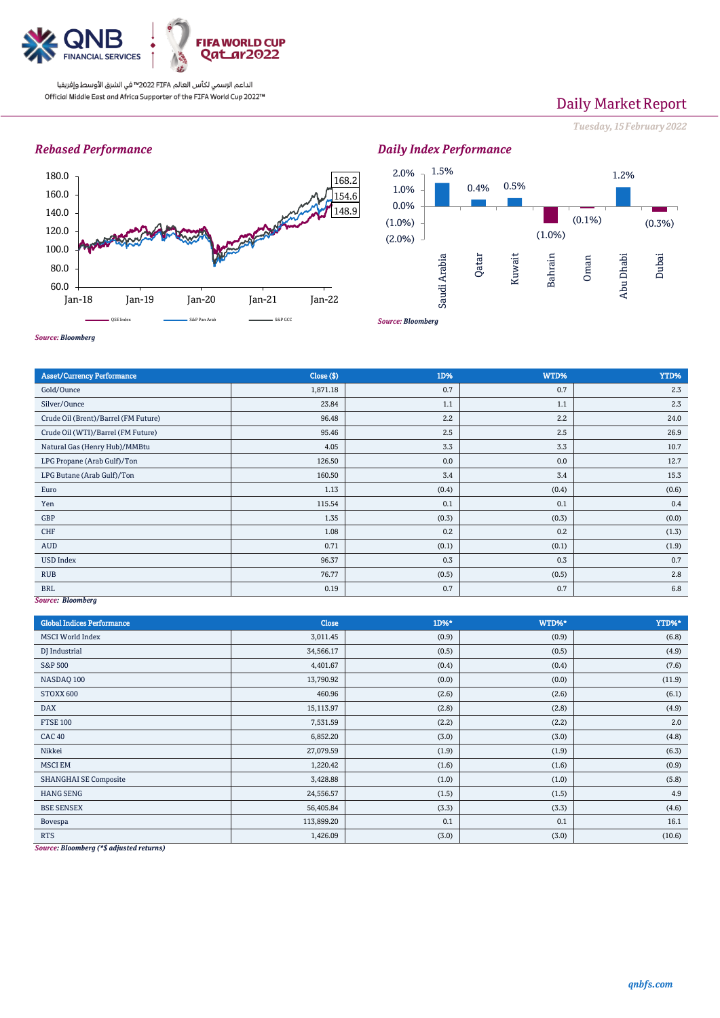

الداعم الرسمي لكأس العالم PIFA™ في الشرق الأوسط وإفريقيا Official Middle East and Africa Supporter of the FIFA World Cup 2022™

# Daily Market Report

*Tuesday, 15February 2022*

### *Rebased Performance*



1.5% 0.4% 0.5% (1.0%)  $(0.1\%)$ 1.2% (0.3%) (2.0%)  $(1.0\%)$ 0.0% 1.0% 2.0% Saudi Arabia Qatar Kuwait Bahrain Oman Abu Dhabi Dubai

*Daily Index Performance*

*Source: Bloomberg*

*Source: Bloomberg*

| <b>Asset/Currency Performance</b>    | Close (\$) | 1D%   | WTD%  | YTD%  |
|--------------------------------------|------------|-------|-------|-------|
| Gold/Ounce                           | 1,871.18   | 0.7   | 0.7   | 2.3   |
| Silver/Ounce                         | 23.84      | 1.1   | 1.1   | 2.3   |
| Crude Oil (Brent)/Barrel (FM Future) | 96.48      | 2.2   | 2.2   | 24.0  |
| Crude Oil (WTI)/Barrel (FM Future)   | 95.46      | 2.5   | 2.5   | 26.9  |
| Natural Gas (Henry Hub)/MMBtu        | 4.05       | 3.3   | 3.3   | 10.7  |
| LPG Propane (Arab Gulf)/Ton          | 126.50     | 0.0   | 0.0   | 12.7  |
| LPG Butane (Arab Gulf)/Ton           | 160.50     | 3.4   | 3.4   | 15.3  |
| Euro                                 | 1.13       | (0.4) | (0.4) | (0.6) |
| Yen                                  | 115.54     | 0.1   | 0.1   | 0.4   |
| GBP                                  | 1.35       | (0.3) | (0.3) | (0.0) |
| CHF                                  | 1.08       | 0.2   | 0.2   | (1.3) |
| AUD                                  | 0.71       | (0.1) | (0.1) | (1.9) |
| <b>USD Index</b>                     | 96.37      | 0.3   | 0.3   | 0.7   |
| <b>RUB</b>                           | 76.77      | (0.5) | (0.5) | 2.8   |
| <b>BRL</b>                           | 0.19       | 0.7   | 0.7   | 6.8   |
| Source: Bloomberg                    |            |       |       |       |

*Source: Bloomberg*

| <b>Global Indices Performance</b> | Close      | 1D%*  | WTD%* | YTD%*  |
|-----------------------------------|------------|-------|-------|--------|
| <b>MSCI</b> World Index           | 3,011.45   | (0.9) | (0.9) | (6.8)  |
| DJ Industrial                     | 34,566.17  | (0.5) | (0.5) | (4.9)  |
| S&P 500                           | 4,401.67   | (0.4) | (0.4) | (7.6)  |
| NASDAQ 100                        | 13,790.92  | (0.0) | (0.0) | (11.9) |
| STOXX 600                         | 460.96     | (2.6) | (2.6) | (6.1)  |
| <b>DAX</b>                        | 15,113.97  | (2.8) | (2.8) | (4.9)  |
| <b>FTSE 100</b>                   | 7,531.59   | (2.2) | (2.2) | 2.0    |
| <b>CAC 40</b>                     | 6,852.20   | (3.0) | (3.0) | (4.8)  |
| Nikkei                            | 27,079.59  | (1.9) | (1.9) | (6.3)  |
| <b>MSCI EM</b>                    | 1,220.42   | (1.6) | (1.6) | (0.9)  |
| <b>SHANGHAI SE Composite</b>      | 3,428.88   | (1.0) | (1.0) | (5.8)  |
| <b>HANG SENG</b>                  | 24,556.57  | (1.5) | (1.5) | 4.9    |
| <b>BSE SENSEX</b>                 | 56,405.84  | (3.3) | (3.3) | (4.6)  |
| Bovespa                           | 113,899.20 | 0.1   | 0.1   | 16.1   |
| <b>RTS</b>                        | 1,426.09   | (3.0) | (3.0) | (10.6) |

*Source: Bloomberg (\*\$ adjusted returns)*